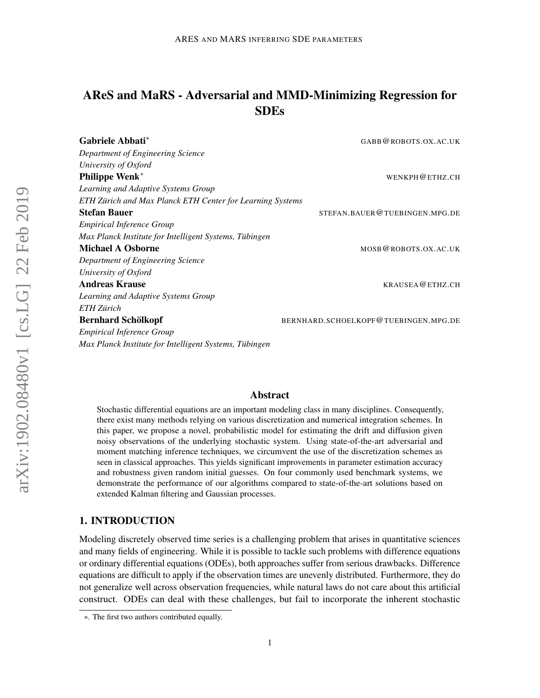# <span id="page-0-0"></span>AReS and MaRS - Adversarial and MMD-Minimizing Regression for SDEs

| Gabriele Abbati <sup>*</sup>                              | GABB@ROBOTS.OX.AC.UK                 |
|-----------------------------------------------------------|--------------------------------------|
| Department of Engineering Science                         |                                      |
| University of Oxford                                      |                                      |
| <b>Philippe Wenk*</b>                                     | WENKPH@ETHZ.CH                       |
| Learning and Adaptive Systems Group                       |                                      |
| ETH Zürich and Max Planck ETH Center for Learning Systems |                                      |
| <b>Stefan Bauer</b>                                       | STEFAN.BAUER@TUEBINGEN.MPG.DE        |
| <i>Empirical Inference Group</i>                          |                                      |
| Max Planck Institute for Intelligent Systems, Tübingen    |                                      |
| <b>Michael A Osborne</b>                                  | MOSB@ROBOTS.OX.AC.UK                 |
| Department of Engineering Science                         |                                      |
| University of Oxford                                      |                                      |
| <b>Andreas Krause</b>                                     | KRAUSEA@ETHZ.CH                      |
| Learning and Adaptive Systems Group                       |                                      |
| ETH Zürich                                                |                                      |
| <b>Bernhard Schölkopf</b>                                 | BERNHARD.SCHOELKOPF@TUEBINGEN.MPG.DE |
| <b>Empirical Inference Group</b>                          |                                      |
| Max Planck Institute for Intelligent Systems, Tübingen    |                                      |

## Abstract

Stochastic differential equations are an important modeling class in many disciplines. Consequently, there exist many methods relying on various discretization and numerical integration schemes. In this paper, we propose a novel, probabilistic model for estimating the drift and diffusion given noisy observations of the underlying stochastic system. Using state-of-the-art adversarial and moment matching inference techniques, we circumvent the use of the discretization schemes as seen in classical approaches. This yields significant improvements in parameter estimation accuracy and robustness given random initial guesses. On four commonly used benchmark systems, we demonstrate the performance of our algorithms compared to state-of-the-art solutions based on extended Kalman filtering and Gaussian processes.

## 1. INTRODUCTION

Modeling discretely observed time series is a challenging problem that arises in quantitative sciences and many fields of engineering. While it is possible to tackle such problems with difference equations or ordinary differential equations (ODEs), both approaches suffer from serious drawbacks. Difference equations are difficult to apply if the observation times are unevenly distributed. Furthermore, they do not generalize well across observation frequencies, while natural laws do not care about this artificial construct. ODEs can deal with these challenges, but fail to incorporate the inherent stochastic

<sup>∗</sup>. The first two authors contributed equally.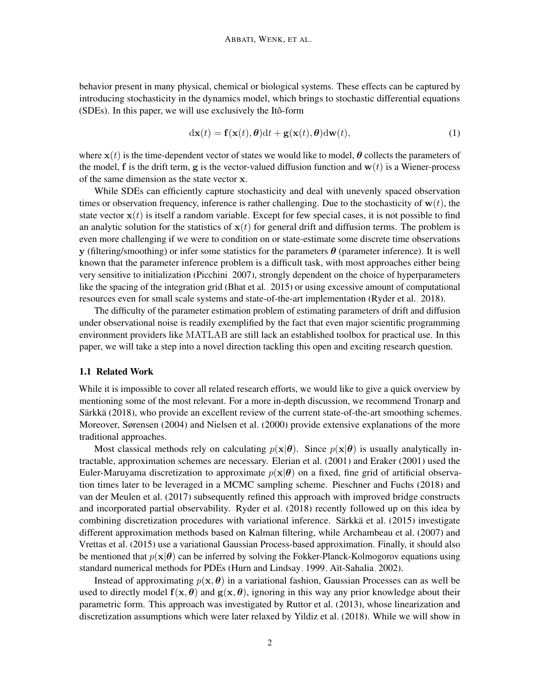behavior present in many physical, chemical or biological systems. These effects can be captured by introducing stochasticity in the dynamics model, which brings to stochastic differential equations (SDEs). In this paper, we will use exclusively the Itô-form

$$
d\mathbf{x}(t) = \mathbf{f}(\mathbf{x}(t), \boldsymbol{\theta})dt + \mathbf{g}(\mathbf{x}(t), \boldsymbol{\theta})d\mathbf{w}(t),
$$
\n(1)

where  $x(t)$  is the time-dependent vector of states we would like to model,  $\theta$  collects the parameters of the model, f is the drift term, g is the vector-valued diffusion function and  $w(t)$  is a Wiener-process of the same dimension as the state vector x.

While SDEs can efficiently capture stochasticity and deal with unevenly spaced observation times or observation frequency, inference is rather challenging. Due to the stochasticity of  $w(t)$ , the state vector  $x(t)$  is itself a random variable. Except for few special cases, it is not possible to find an analytic solution for the statistics of  $x(t)$  for general drift and diffusion terms. The problem is even more challenging if we were to condition on or state-estimate some discrete time observations y (filtering/smoothing) or infer some statistics for the parameters  $\theta$  (parameter inference). It is well known that the parameter inference problem is a difficult task, with most approaches either being very sensitive to initialization [\(Picchini, 2007\)](#page-16-0), strongly dependent on the choice of hyperparameters like the spacing of the integration grid [\(Bhat et al., 2015\)](#page-15-0) or using excessive amount of computational resources even for small scale systems and state-of-the-art implementation [\(Ryder et al., 2018\)](#page-16-1).

The difficulty of the parameter estimation problem of estimating parameters of drift and diffusion under observational noise is readily exemplified by the fact that even major scientific programming environment providers like MATLAB are still lack an established toolbox for practical use. In this paper, we will take a step into a novel direction tackling this open and exciting research question.

#### 1.1 Related Work

While it is impossible to cover all related research efforts, we would like to give a quick overview by mentioning some of the most relevant. For a more in-depth discussion, we recommend [Tronarp and](#page-17-0) Särkkä [\(2018\)](#page-17-0), who provide an excellent review of the current state-of-the-art smoothing schemes. Moreover, [Sørensen](#page-16-2) [\(2004\)](#page-16-2) and [Nielsen et al.](#page-16-3) [\(2000\)](#page-16-3) provide extensive explanations of the more traditional approaches.

Most classical methods rely on calculating  $p(x|\theta)$ . Since  $p(x|\theta)$  is usually analytically intractable, approximation schemes are necessary. [Elerian et al.](#page-15-1) [\(2001\)](#page-15-1) and [Eraker](#page-15-2) [\(2001\)](#page-15-2) used the Euler-Maruyama discretization to approximate  $p(x|\theta)$  on a fixed, fine grid of artificial observation times later to be leveraged in a MCMC sampling scheme. [Pieschner and Fuchs](#page-16-4) [\(2018\)](#page-16-4) and [van der Meulen et al.](#page-17-1) [\(2017\)](#page-17-1) subsequently refined this approach with improved bridge constructs and incorporated partial observability. [Ryder et al.](#page-16-1) [\(2018\)](#page-16-1) recently followed up on this idea by combining discretization procedures with variational inference. Särkkä et al. [\(2015\)](#page-16-5) investigate different approximation methods based on Kalman filtering, while [Archambeau et al.](#page-15-3) [\(2007\)](#page-15-3) and [Vrettas et al.](#page-17-2) [\(2015\)](#page-17-2) use a variational Gaussian Process-based approximation. Finally, it should also be mentioned that  $p(x|\theta)$  can be inferred by solving the Fokker-Planck-Kolmogorov equations using standard numerical methods for PDEs [\(Hurn and Lindsay, 1999;](#page-16-6) Aït-Sahalia, 2002).

Instead of approximating  $p(x, \theta)$  in a variational fashion, Gaussian Processes can as well be used to directly model  $f(x, \theta)$  and  $g(x, \theta)$ , ignoring in this way any prior knowledge about their parametric form. This approach was investigated by [Ruttor et al.](#page-16-7) [\(2013\)](#page-16-7), whose linearization and discretization assumptions which were later relaxed by [Yildiz et al.](#page-17-3) [\(2018\)](#page-17-3). While we will show in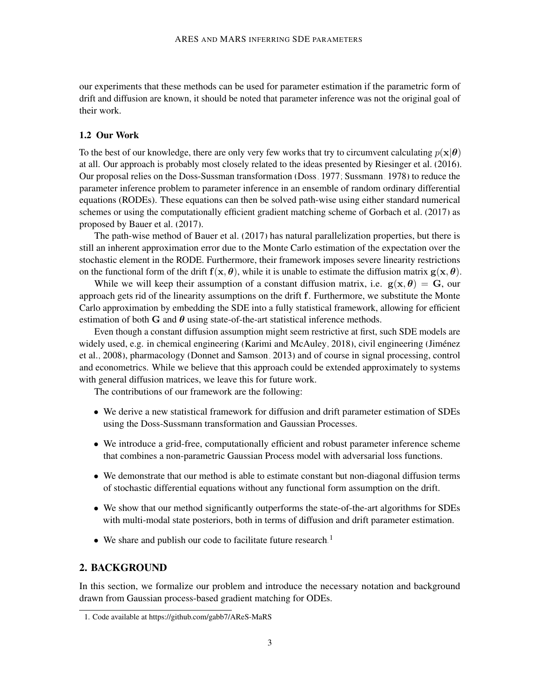our experiments that these methods can be used for parameter estimation if the parametric form of drift and diffusion are known, it should be noted that parameter inference was not the original goal of their work.

#### <span id="page-2-1"></span>1.2 Our Work

To the best of our knowledge, there are only very few works that try to circumvent calculating  $p(x|\theta)$ at all. Our approach is probably most closely related to the ideas presented by [Riesinger et al.](#page-16-8) [\(2016\)](#page-16-8). Our proposal relies on the Doss-Sussman transformation [\(Doss, 1977;](#page-15-5) [Sussmann, 1978\)](#page-16-9) to reduce the parameter inference problem to parameter inference in an ensemble of random ordinary differential equations (RODEs). These equations can then be solved path-wise using either standard numerical schemes or using the computationally efficient gradient matching scheme of [Gorbach et al.](#page-15-6) [\(2017\)](#page-15-6) as proposed by [Bauer et al.](#page-15-7) [\(2017\)](#page-15-7).

The path-wise method of [Bauer et al.](#page-15-7) [\(2017\)](#page-15-7) has natural parallelization properties, but there is still an inherent approximation error due to the Monte Carlo estimation of the expectation over the stochastic element in the RODE. Furthermore, their framework imposes severe linearity restrictions on the functional form of the drift  $f(x, \theta)$ , while it is unable to estimate the diffusion matrix  $g(x, \theta)$ .

While we will keep their assumption of a constant diffusion matrix, i.e.  $g(x, \theta) = G$ , our approach gets rid of the linearity assumptions on the drift f. Furthermore, we substitute the Monte Carlo approximation by embedding the SDE into a fully statistical framework, allowing for efficient estimation of both G and  $\theta$  using state-of-the-art statistical inference methods.

Even though a constant diffusion assumption might seem restrictive at first, such SDE models are widely used, e.g. in chemical engineering [\(Karimi and McAuley, 2018\)](#page-16-10), civil engineering (Jiménez [et al., 2008\)](#page-16-11), pharmacology [\(Donnet and Samson, 2013\)](#page-15-8) and of course in signal processing, control and econometrics. While we believe that this approach could be extended approximately to systems with general diffusion matrices, we leave this for future work.

The contributions of our framework are the following:

- We derive a new statistical framework for diffusion and drift parameter estimation of SDEs using the Doss-Sussmann transformation and Gaussian Processes.
- We introduce a grid-free, computationally efficient and robust parameter inference scheme that combines a non-parametric Gaussian Process model with adversarial loss functions.
- We demonstrate that our method is able to estimate constant but non-diagonal diffusion terms of stochastic differential equations without any functional form assumption on the drift.
- We show that our method significantly outperforms the state-of-the-art algorithms for SDEs with multi-modal state posteriors, both in terms of diffusion and drift parameter estimation.
- We share and publish our code to facilitate future research.<sup>[1](#page-2-0)</sup>

## 2. BACKGROUND

In this section, we formalize our problem and introduce the necessary notation and background drawn from Gaussian process-based gradient matching for ODEs.

<span id="page-2-0"></span><sup>1.</sup> Code available at https://github.com/gabb7/AReS-MaRS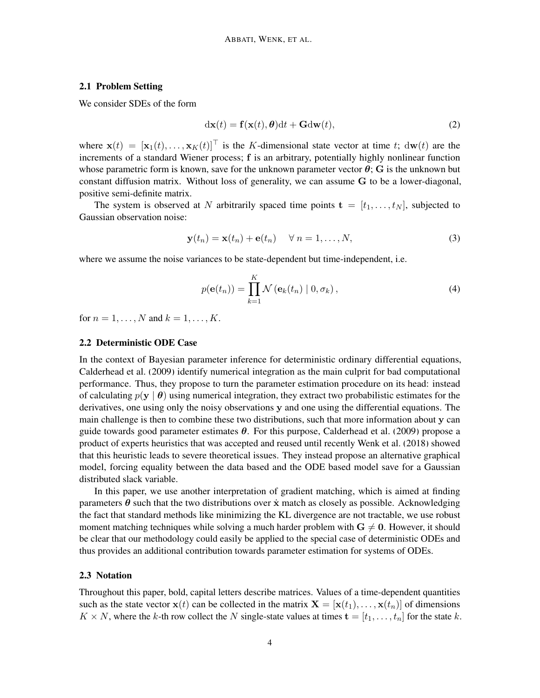#### 2.1 Problem Setting

We consider SDEs of the form

$$
dx(t) = f(x(t), \theta)dt + Gdw(t),
$$
\n(2)

where  $\mathbf{x}(t) = [\mathbf{x}_1(t), \dots, \mathbf{x}_K(t)]^\top$  is the K-dimensional state vector at time t;  $d\mathbf{w}(t)$  are the increments of a standard Wiener process; f is an arbitrary, potentially highly nonlinear function whose parametric form is known, save for the unknown parameter vector  $\theta$ ; G is the unknown but constant diffusion matrix. Without loss of generality, we can assume G to be a lower-diagonal, positive semi-definite matrix.

The system is observed at N arbitrarily spaced time points  $\mathbf{t} = [t_1, \dots, t_N]$ , subjected to Gaussian observation noise:

$$
\mathbf{y}(t_n) = \mathbf{x}(t_n) + \mathbf{e}(t_n) \quad \forall n = 1, ..., N,
$$
 (3)

where we assume the noise variances to be state-dependent but time-independent, i.e.

<span id="page-3-1"></span>
$$
p(\mathbf{e}(t_n)) = \prod_{k=1}^{K} \mathcal{N}(\mathbf{e}_k(t_n) | 0, \sigma_k),
$$
\n(4)

for  $n = 1, ..., N$  and  $k = 1, ..., K$ .

#### 2.2 Deterministic ODE Case

In the context of Bayesian parameter inference for deterministic ordinary differential equations, [Calderhead et al.](#page-15-9) [\(2009\)](#page-15-9) identify numerical integration as the main culprit for bad computational performance. Thus, they propose to turn the parameter estimation procedure on its head: instead of calculating  $p(y | \theta)$  using numerical integration, they extract two probabilistic estimates for the derivatives, one using only the noisy observations y and one using the differential equations. The main challenge is then to combine these two distributions, such that more information about y can guide towards good parameter estimates  $\theta$ . For this purpose, [Calderhead et al.](#page-15-9) [\(2009\)](#page-15-9) propose a product of experts heuristics that was accepted and reused until recently [Wenk et al.](#page-17-4) [\(2018\)](#page-17-4) showed that this heuristic leads to severe theoretical issues. They instead propose an alternative graphical model, forcing equality between the data based and the ODE based model save for a Gaussian distributed slack variable.

In this paper, we use another interpretation of gradient matching, which is aimed at finding parameters  $\theta$  such that the two distributions over  $\dot{x}$  match as closely as possible. Acknowledging the fact that standard methods like minimizing the KL divergence are not tractable, we use robust moment matching techniques while solving a much harder problem with  $G \neq 0$ . However, it should be clear that our methodology could easily be applied to the special case of deterministic ODEs and thus provides an additional contribution towards parameter estimation for systems of ODEs.

#### <span id="page-3-0"></span>2.3 Notation

Throughout this paper, bold, capital letters describe matrices. Values of a time-dependent quantities such as the state vector  $\mathbf{x}(t)$  can be collected in the matrix  $\mathbf{X} = [\mathbf{x}(t_1), \dots, \mathbf{x}(t_n)]$  of dimensions  $K \times N$ , where the k-th row collect the N single-state values at times  $\mathbf{t} = [t_1, \dots, t_n]$  for the state k.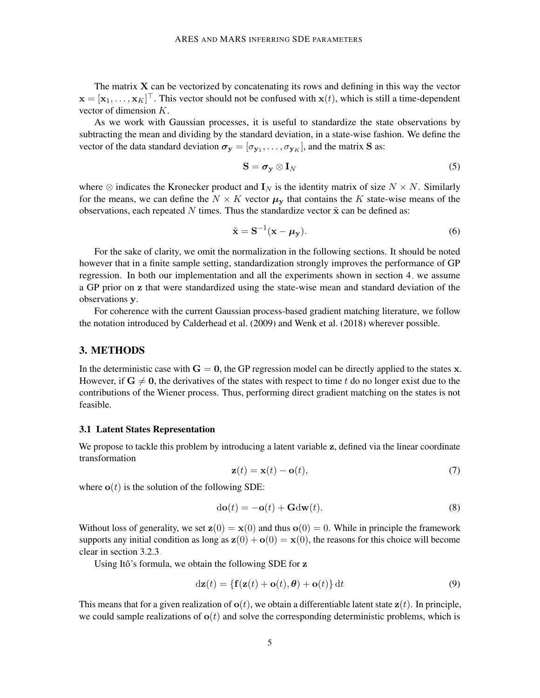The matrix  $X$  can be vectorized by concatenating its rows and defining in this way the vector  $\mathbf{x} = [\mathbf{x}_1, \dots, \mathbf{x}_K]^\top$ . This vector should not be confused with  $\mathbf{x}(t)$ , which is still a time-dependent vector of dimension K.

As we work with Gaussian processes, it is useful to standardize the state observations by subtracting the mean and dividing by the standard deviation, in a state-wise fashion. We define the vector of the data standard deviation  $\boldsymbol{\sigma}_{\mathbf{y}} = [\sigma_{\mathbf{y}_1}, \dots, \sigma_{\mathbf{y}_K}]$ , and the matrix **S** as:

$$
\mathbf{S} = \boldsymbol{\sigma}_{\mathbf{y}} \otimes \mathbf{I}_N \tag{5}
$$

where  $\otimes$  indicates the Kronecker product and  $\mathbf{I}_N$  is the identity matrix of size  $N \times N$ . Similarly for the means, we can define the  $N \times K$  vector  $\mu$ <sub>y</sub> that contains the K state-wise means of the observations, each repeated N times. Thus the standardize vector  $\tilde{\mathbf{x}}$  can be defined as:

$$
\tilde{\mathbf{x}} = \mathbf{S}^{-1}(\mathbf{x} - \boldsymbol{\mu}_{\mathbf{y}}). \tag{6}
$$

For the sake of clarity, we omit the normalization in the following sections. It should be noted however that in a finite sample setting, standardization strongly improves the performance of GP regression. In both our implementation and all the experiments shown in section [4,](#page-9-0) we assume a GP prior on z that were standardized using the state-wise mean and standard deviation of the observations y.

For coherence with the current Gaussian process-based gradient matching literature, we follow the notation introduced by [Calderhead et al.](#page-15-9) [\(2009\)](#page-15-9) and [Wenk et al.](#page-17-4) [\(2018\)](#page-17-4) wherever possible.

## 3. METHODS

In the deterministic case with  $G = 0$ , the GP regression model can be directly applied to the states x. However, if  $G \neq 0$ , the derivatives of the states with respect to time t do no longer exist due to the contributions of the Wiener process. Thus, performing direct gradient matching on the states is not feasible.

#### 3.1 Latent States Representation

<span id="page-4-1"></span>We propose to tackle this problem by introducing a latent variable z, defined via the linear coordinate transformation

<span id="page-4-0"></span>
$$
\mathbf{z}(t) = \mathbf{x}(t) - \mathbf{o}(t),\tag{7}
$$

where  $o(t)$  is the solution of the following SDE:

<span id="page-4-2"></span>
$$
d\mathbf{o}(t) = -\mathbf{o}(t) + \mathbf{G}d\mathbf{w}(t).
$$
 (8)

Without loss of generality, we set  $\mathbf{z}(0) = \mathbf{x}(0)$  and thus  $\mathbf{o}(0) = 0$ . While in principle the framework supports any initial condition as long as  $\mathbf{z}(0) + \mathbf{o}(0) = \mathbf{x}(0)$ , the reasons for this choice will become clear in section [3.2.3.](#page-5-0)

Using Itô's formula, we obtain the following SDE for z

$$
d\mathbf{z}(t) = \{ \mathbf{f}(\mathbf{z}(t) + \mathbf{o}(t), \boldsymbol{\theta}) + \mathbf{o}(t) \} dt \tag{9}
$$

This means that for a given realization of  $o(t)$ , we obtain a differentiable latent state  $z(t)$ . In principle, we could sample realizations of  $o(t)$  and solve the corresponding deterministic problems, which is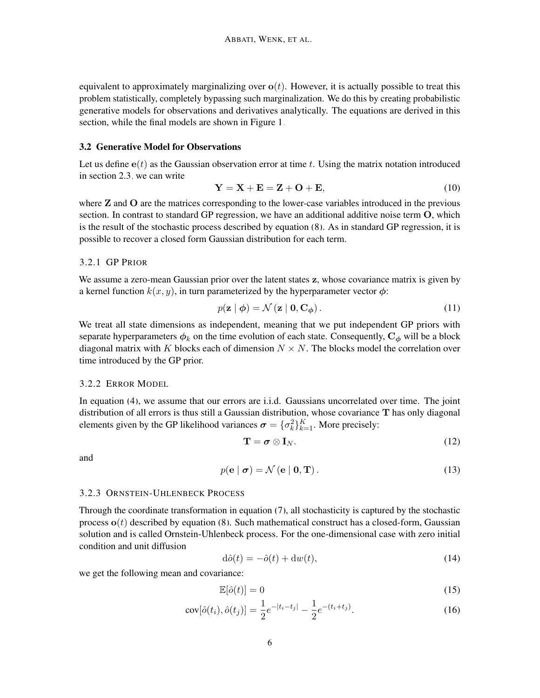equivalent to approximately marginalizing over  $o(t)$ . However, it is actually possible to treat this problem statistically, completely bypassing such marginalization. We do this by creating probabilistic generative models for observations and derivatives analytically. The equations are derived in this section, while the final models are shown in Figure [1.](#page-7-0)

#### 3.2 Generative Model for Observations

Let us define  $e(t)$  as the Gaussian observation error at time t. Using the matrix notation introduced in section [2.3,](#page-3-0) we can write

<span id="page-5-2"></span>
$$
\mathbf{Y} = \mathbf{X} + \mathbf{E} = \mathbf{Z} + \mathbf{O} + \mathbf{E},\tag{10}
$$

where  $Z$  and  $Q$  are the matrices corresponding to the lower-case variables introduced in the previous section. In contrast to standard GP regression, we have an additional additive noise term O, which is the result of the stochastic process described by equation [\(8\)](#page-4-0). As in standard GP regression, it is possible to recover a closed form Gaussian distribution for each term.

## 3.2.1 GP PRIOR

We assume a zero-mean Gaussian prior over the latent states z, whose covariance matrix is given by a kernel function  $k(x, y)$ , in turn parameterized by the hyperparameter vector  $\phi$ :

<span id="page-5-3"></span>
$$
p(\mathbf{z} \mid \boldsymbol{\phi}) = \mathcal{N}(\mathbf{z} \mid \mathbf{0}, \mathbf{C}_{\boldsymbol{\phi}}). \tag{11}
$$

We treat all state dimensions as independent, meaning that we put independent GP priors with separate hyperparameters  $\phi_k$  on the time evolution of each state. Consequently,  $C_{\phi}$  will be a block diagonal matrix with K blocks each of dimension  $N \times N$ . The blocks model the correlation over time introduced by the GP prior.

## 3.2.2 ERROR MODEL

In equation [\(4\)](#page-3-1), we assume that our errors are i.i.d. Gaussians uncorrelated over time. The joint distribution of all errors is thus still a Gaussian distribution, whose covariance T has only diagonal elements given by the GP likelihood variances  $\boldsymbol{\sigma} = {\{\sigma_k^2\}}_{k=1}^K$ . More precisely:

$$
\mathbf{T} = \boldsymbol{\sigma} \otimes \mathbf{I}_N. \tag{12}
$$

<span id="page-5-4"></span>and

$$
p(\mathbf{e} \mid \boldsymbol{\sigma}) = \mathcal{N}(\mathbf{e} \mid \mathbf{0}, \mathbf{T}). \tag{13}
$$

#### <span id="page-5-0"></span>3.2.3 ORNSTEIN-UHLENBECK PROCESS

Through the coordinate transformation in equation [\(7\)](#page-4-1), all stochasticity is captured by the stochastic process  $\mathbf{o}(t)$  described by equation [\(8\)](#page-4-0). Such mathematical construct has a closed-form, Gaussian solution and is called Ornstein-Uhlenbeck process. For the one-dimensional case with zero initial condition and unit diffusion

$$
d\hat{o}(t) = -\hat{o}(t) + dw(t),\tag{14}
$$

we get the following mean and covariance:

<span id="page-5-1"></span>
$$
\mathbb{E}[\hat{o}(t)] = 0 \tag{15}
$$

$$
cov[\hat{o}(t_i), \hat{o}(t_j)] = \frac{1}{2}e^{-|t_i - t_j|} - \frac{1}{2}e^{-(t_i + t_j)}.
$$
\n(16)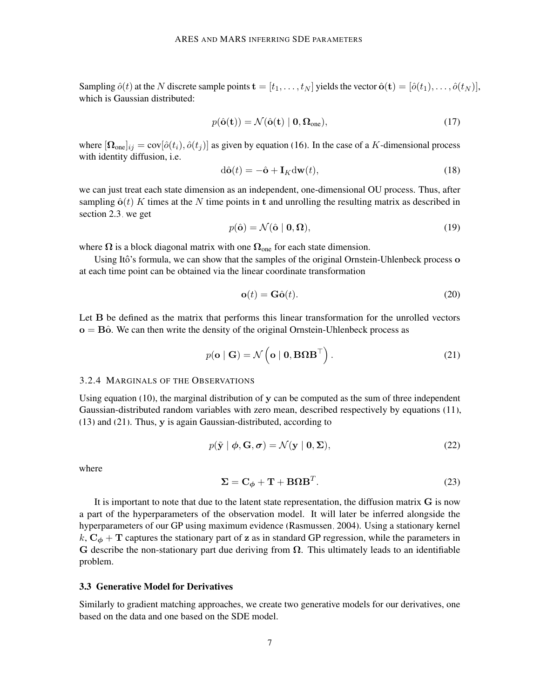Sampling  $\hat{o}(t)$  at the N discrete sample points  $\mathbf{t} = [t_1, \dots, t_N]$  yields the vector  $\hat{\mathbf{o}}(\mathbf{t}) = [\hat{o}(t_1), \dots, \hat{o}(t_N)],$ which is Gaussian distributed:

$$
p(\hat{\mathbf{o}}(\mathbf{t})) = \mathcal{N}(\hat{\mathbf{o}}(\mathbf{t}) \mid \mathbf{0}, \mathbf{\Omega}_{one}),
$$
\n(17)

where  $[\Omega_{one}]_{ij} = \text{cov}[\hat{o}(t_i), \hat{o}(t_j)]$  as given by equation [\(16\)](#page-5-1). In the case of a K-dimensional process with identity diffusion, i.e.

$$
d\hat{\mathbf{o}}(t) = -\hat{\mathbf{o}} + \mathbf{I}_K d\mathbf{w}(t),
$$
\n(18)

we can just treat each state dimension as an independent, one-dimensional OU process. Thus, after sampling  $\hat{\mathbf{o}}(t)$  K times at the N time points in t and unrolling the resulting matrix as described in section [2.3,](#page-3-0) we get

$$
p(\hat{\mathbf{o}}) = \mathcal{N}(\hat{\mathbf{o}} \mid \mathbf{0}, \Omega),\tag{19}
$$

where  $\Omega$  is a block diagonal matrix with one  $\Omega_{\text{one}}$  for each state dimension.

Using Itô's formula, we can show that the samples of the original Ornstein-Uhlenbeck process o at each time point can be obtained via the linear coordinate transformation

<span id="page-6-0"></span>
$$
\mathbf{o}(t) = \mathbf{G}\hat{\mathbf{o}}(t). \tag{20}
$$

Let **B** be defined as the matrix that performs this linear transformation for the unrolled vectors  $o = B\hat{o}$ . We can then write the density of the original Ornstein-Uhlenbeck process as

$$
p(\mathbf{o} \mid \mathbf{G}) = \mathcal{N}\left(\mathbf{o} \mid \mathbf{0}, \mathbf{B} \mathbf{\Omega} \mathbf{B}^{\top}\right).
$$
 (21)

#### 3.2.4 MARGINALS OF THE OBSERVATIONS

Using equation [\(10\)](#page-5-2), the marginal distribution of y can be computed as the sum of three independent Gaussian-distributed random variables with zero mean, described respectively by equations [\(11\)](#page-5-3), [\(13\)](#page-5-4) and [\(21\)](#page-6-0). Thus, y is again Gaussian-distributed, according to

<span id="page-6-1"></span>
$$
p(\tilde{\mathbf{y}} \mid \boldsymbol{\phi}, \mathbf{G}, \boldsymbol{\sigma}) = \mathcal{N}(\mathbf{y} \mid \mathbf{0}, \boldsymbol{\Sigma}),
$$
\n(22)

where

$$
\Sigma = \mathbf{C}_{\phi} + \mathbf{T} + \mathbf{B} \Omega \mathbf{B}^{T}.
$$
 (23)

It is important to note that due to the latent state representation, the diffusion matrix G is now a part of the hyperparameters of the observation model. It will later be inferred alongside the hyperparameters of our GP using maximum evidence [\(Rasmussen, 2004\)](#page-16-12). Using a stationary kernel  $k, C_{\phi} + T$  captures the stationary part of z as in standard GP regression, while the parameters in G describe the non-stationary part due deriving from  $\Omega$ . This ultimately leads to an identifiable problem.

## 3.3 Generative Model for Derivatives

Similarly to gradient matching approaches, we create two generative models for our derivatives, one based on the data and one based on the SDE model.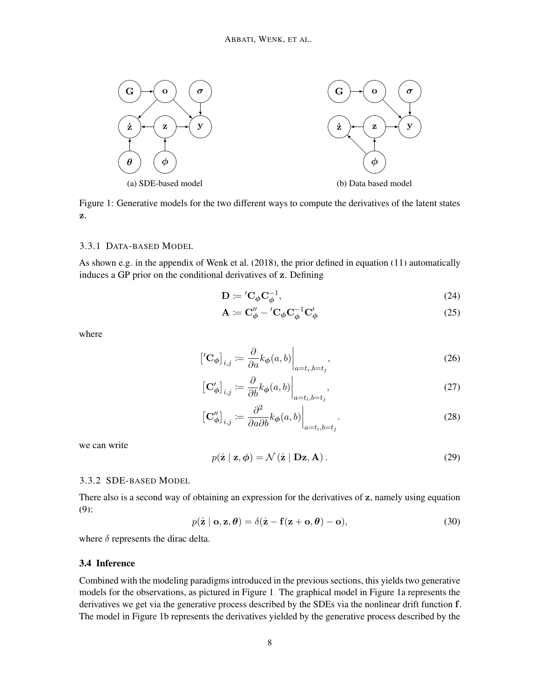<span id="page-7-0"></span>

Figure 1: Generative models for the two different ways to compute the derivatives of the latent states z.

#### 3.3.1 DATA-BASED MODEL

As shown e.g. in the appendix of [Wenk et al.](#page-17-4) [\(2018\)](#page-17-4), the prior defined in equation [\(11\)](#page-5-3) automatically induces a GP prior on the conditional derivatives of z. Defining

$$
\mathbf{D} \coloneqq \mathbf{C}_{\phi} \mathbf{C}_{\phi}^{-1},\tag{24}
$$

$$
\mathbf{A} \coloneqq \mathbf{C}_{\phi}^{"\prime} - \mathbf{C}_{\phi} \mathbf{C}_{\phi}^{-1} \mathbf{C}_{\phi}^{\prime} \tag{25}
$$

where

$$
\left[\left<\mathbf{C}_{\phi}\right]_{i,j} := \frac{\partial}{\partial a} k_{\phi}(a,b)\right|_{a=t_i,b=t_j},\tag{26}
$$

$$
\left[\mathbf{C}_{\phi}'\right]_{i,j} := \frac{\partial}{\partial b} k_{\phi}(a,b)\Big|_{a=t_i,b=t_j},\tag{27}
$$

$$
\left[\mathbf{C}_{\phi}''\right]_{i,j} := \frac{\partial^2}{\partial a \partial b} k_{\phi}(a,b)\Big|_{a=t_i,b=t_j}.
$$
\n(28)

we can write

$$
p(\dot{\mathbf{z}} \mid \mathbf{z}, \boldsymbol{\phi}) = \mathcal{N}(\dot{\mathbf{z}} \mid \mathbf{Dz}, \mathbf{A}). \tag{29}
$$

## 3.3.2 SDE-BASED MODEL

There also is a second way of obtaining an expression for the derivatives of z, namely using equation [\(9\)](#page-4-2):

$$
p(\dot{\mathbf{z}} \mid \mathbf{o}, \mathbf{z}, \boldsymbol{\theta}) = \delta(\dot{\mathbf{z}} - \mathbf{f}(\mathbf{z} + \mathbf{o}, \boldsymbol{\theta}) - \mathbf{o}),
$$
\n(30)

where  $\delta$  represents the dirac delta.

## 3.4 Inference

Combined with the modeling paradigms introduced in the previous sections, this yields two generative models for the observations, as pictured in Figure [1.](#page-7-0) The graphical model in Figure [1a](#page-7-0) represents the derivatives we get via the generative process described by the SDEs via the nonlinear drift function f. The model in Figure [1b](#page-7-0) represents the derivatives yielded by the generative process described by the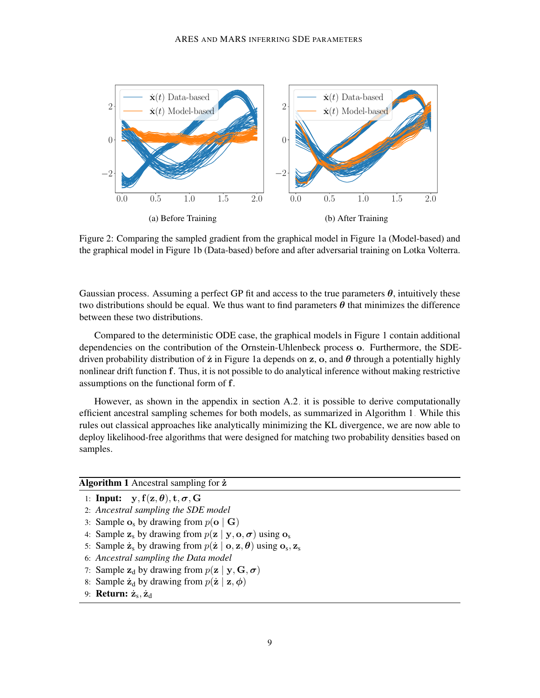<span id="page-8-1"></span>

Figure 2: Comparing the sampled gradient from the graphical model in Figure [1a](#page-7-0) (Model-based) and the graphical model in Figure [1b](#page-7-0) (Data-based) before and after adversarial training on Lotka Volterra.

Gaussian process. Assuming a perfect GP fit and access to the true parameters  $\theta$ , intuitively these two distributions should be equal. We thus want to find parameters  $\theta$  that minimizes the difference between these two distributions.

Compared to the deterministic ODE case, the graphical models in Figure [1](#page-7-0) contain additional dependencies on the contribution of the Ornstein-Uhlenbeck process o. Furthermore, the SDEdriven probability distribution of  $\dot{z}$  in Figure [1a](#page-7-0) depends on z, o, and  $\theta$  through a potentially highly nonlinear drift function f. Thus, it is not possible to do analytical inference without making restrictive assumptions on the functional form of f.

However, as shown in the appendix in section [A.2,](#page-2-1) it is possible to derive computationally efficient ancestral sampling schemes for both models, as summarized in Algorithm [1.](#page-8-0) While this rules out classical approaches like analytically minimizing the KL divergence, we are now able to deploy likelihood-free algorithms that were designed for matching two probability densities based on samples.

#### <span id="page-8-0"></span>Algorithm 1 Ancestral sampling for  $\dot{z}$

- 1: Input:  $y, f(z, \theta), t, \sigma, G$
- 2: *Ancestral sampling the SDE model*
- 3: Sample  $o_s$  by drawing from  $p(o | G)$
- 4: Sample  $z_s$  by drawing from  $p(z | y, o, \sigma)$  using  $o_s$
- 5: Sample  $\dot{\mathbf{z}}_s$  by drawing from  $p(\dot{\mathbf{z}} \mid \mathbf{o}, \mathbf{z}, \boldsymbol{\theta})$  using  $\mathbf{o}_s$ ,  $\mathbf{z}_s$
- 6: *Ancestral sampling the Data model*
- 7: Sample  $z_d$  by drawing from  $p(z | y, G, \sigma)$
- 8: Sample  $\dot{\mathbf{z}}_d$  by drawing from  $p(\dot{\mathbf{z}} \mid \mathbf{z}, \boldsymbol{\phi})$
- 9: **Return:**  $\dot{\mathbf{z}}_s, \dot{\mathbf{z}}_d$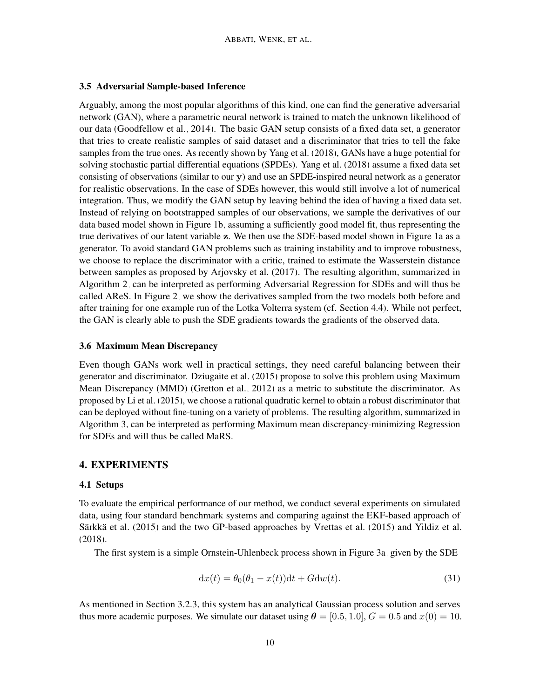### 3.5 Adversarial Sample-based Inference

Arguably, among the most popular algorithms of this kind, one can find the generative adversarial network (GAN), where a parametric neural network is trained to match the unknown likelihood of our data [\(Goodfellow et al., 2014\)](#page-15-10). The basic GAN setup consists of a fixed data set, a generator that tries to create realistic samples of said dataset and a discriminator that tries to tell the fake samples from the true ones. As recently shown by [Yang et al.](#page-17-5) [\(2018\)](#page-17-5), GANs have a huge potential for solving stochastic partial differential equations (SPDEs). [Yang et al.](#page-17-5) [\(2018\)](#page-17-5) assume a fixed data set consisting of observations (similar to our y) and use an SPDE-inspired neural network as a generator for realistic observations. In the case of SDEs however, this would still involve a lot of numerical integration. Thus, we modify the GAN setup by leaving behind the idea of having a fixed data set. Instead of relying on bootstrapped samples of our observations, we sample the derivatives of our data based model shown in Figure [1b,](#page-7-0) assuming a sufficiently good model fit, thus representing the true derivatives of our latent variable z. We then use the SDE-based model shown in Figure [1a](#page-7-0) as a generator. To avoid standard GAN problems such as training instability and to improve robustness, we choose to replace the discriminator with a critic, trained to estimate the Wasserstein distance between samples as proposed by [Arjovsky et al.](#page-15-11) [\(2017\)](#page-15-11). The resulting algorithm, summarized in Algorithm [2,](#page-10-0) can be interpreted as performing Adversarial Regression for SDEs and will thus be called AReS. In Figure [2,](#page-8-1) we show the derivatives sampled from the two models both before and after training for one example run of the Lotka Volterra system (cf. Section [4.4\)](#page-12-0). While not perfect, the GAN is clearly able to push the SDE gradients towards the gradients of the observed data.

## 3.6 Maximum Mean Discrepancy

Even though GANs work well in practical settings, they need careful balancing between their generator and discriminator. [Dziugaite et al.](#page-15-12) [\(2015\)](#page-15-12) propose to solve this problem using Maximum Mean Discrepancy (MMD) [\(Gretton et al., 2012\)](#page-15-13) as a metric to substitute the discriminator. As proposed by [Li et al.](#page-16-13) [\(2015\)](#page-16-13), we choose a rational quadratic kernel to obtain a robust discriminator that can be deployed without fine-tuning on a variety of problems. The resulting algorithm, summarized in Algorithm [3,](#page-10-1) can be interpreted as performing Maximum mean discrepancy-minimizing Regression for SDEs and will thus be called MaRS.

## <span id="page-9-0"></span>4. EXPERIMENTS

## <span id="page-9-1"></span>4.1 Setups

To evaluate the empirical performance of our method, we conduct several experiments on simulated data, using four standard benchmark systems and comparing against the EKF-based approach of Särkkä et al.  $(2015)$  and the two GP-based approaches by [Vrettas et al.](#page-17-2)  $(2015)$  and [Yildiz et al.](#page-17-3) [\(2018\)](#page-17-3).

The first system is a simple Ornstein-Uhlenbeck process shown in Figure [3a,](#page-11-0) given by the SDE

$$
dx(t) = \theta_0(\theta_1 - x(t))dt + Gdw(t).
$$
\n(31)

As mentioned in Section [3.2.3,](#page-5-0) this system has an analytical Gaussian process solution and serves thus more academic purposes. We simulate our dataset using  $\theta = [0.5, 1.0], G = 0.5$  and  $x(0) = 10$ .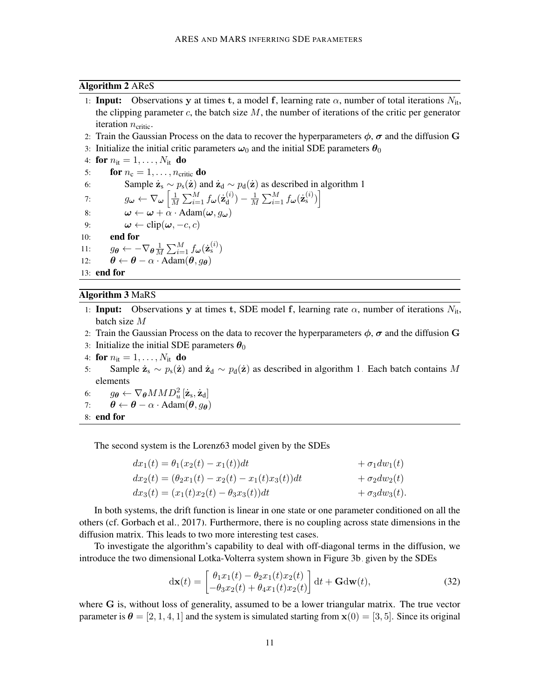#### <span id="page-10-0"></span>Algorithm 2 AReS

- 1: Input: Observations y at times t, a model f, learning rate  $\alpha$ , number of total iterations  $N_{it}$ , the clipping parameter c, the batch size  $M$ , the number of iterations of the critic per generator iteration  $n_{\text{critic}}$ .
- 2: Train the Gaussian Process on the data to recover the hyperparameters  $\phi$ ,  $\sigma$  and the diffusion G
- 3: Initialize the initial critic parameters  $\omega_0$  and the initial SDE parameters  $\theta_0$
- 4: for  $n_{it} = 1, \ldots, N_{it}$  do
- 5: **for**  $n_c = 1, \ldots, n_{\text{critic}}$  **do**

```
6: Sample \dot{\mathbf{z}}_s \sim p_s(\dot{\mathbf{z}}) and \dot{\mathbf{z}}_d \sim p_d(\dot{\mathbf{z}}) 1
```
7: 
$$
g_{\boldsymbol{\omega}} \leftarrow \nabla_{\boldsymbol{\omega}} \left[ \frac{1}{M} \sum_{i=1}^{M} f_{\boldsymbol{\omega}}(\dot{\mathbf{z}}_d^{(i)}) - \frac{1}{M} \sum_{i=1}^{M} f_{\boldsymbol{\omega}}(\dot{\mathbf{z}}_s^{(i)}) \right]
$$

8: 
$$
\omega \leftarrow \omega + \alpha \cdot \text{Adam}(\omega, g_{\omega})
$$

- 9:  $\omega \leftarrow \text{clip}(\omega, -c, c)$ <br>10: **end for**
- end for

11: 
$$
g_{\boldsymbol{\theta}} \leftarrow -\nabla_{\boldsymbol{\theta}} \frac{1}{M} \sum_{i=1}^{M} f_{\boldsymbol{\omega}}(\dot{\mathbf{z}}_s^{(i)})
$$

12:  $\theta \leftarrow \theta - \alpha \cdot \text{Adam}(\theta, g_{\theta})$ 

13: end for

## <span id="page-10-1"></span>Algorithm 3 MaRS

- 1: Input: Observations y at times t, SDE model f, learning rate  $\alpha$ , number of iterations  $N_{\text{it}}$ , batch size M
- 2: Train the Gaussian Process on the data to recover the hyperparameters  $\phi$ ,  $\sigma$  and the diffusion G
- 3: Initialize the initial SDE parameters  $\theta_0$
- 4: for  $n_{it} = 1, \ldots, N_{it}$  do
- 5: Sample  $\dot{z}_s \sim p_s(\dot{z})$  and  $\dot{z}_d \sim p_d(\dot{z})$  as described in algorithm [1.](#page-8-0) Each batch contains M elements
- 6:  $g_{\boldsymbol{\theta}} \leftarrow \nabla_{\boldsymbol{\theta}} M M D_u^2 \left[ \dot{\mathbf{z}}_{\rm s}, \dot{\mathbf{z}}_{\rm d} \right]$
- 7:  $\theta \leftarrow \theta \alpha \cdot \text{Adam}(\theta, q_{\theta})$
- 8: end for

The second system is the Lorenz63 model given by the SDEs

| $dx_1(t) = \theta_1(x_2(t) - x_1(t))dt$                 | $+\sigma_1 dw_1(t)$  |
|---------------------------------------------------------|----------------------|
| $dx_2(t) = (\theta_2 x_1(t) - x_2(t) - x_1(t)x_3(t))dt$ | $+\sigma_2dw_2(t)$   |
| $dx_3(t) = (x_1(t)x_2(t) - \theta_3x_3(t))dt$           | $+\sigma_3 dw_3(t).$ |

In both systems, the drift function is linear in one state or one parameter conditioned on all the others (cf. [Gorbach et al., 2017\)](#page-15-6). Furthermore, there is no coupling across state dimensions in the diffusion matrix. This leads to two more interesting test cases.

To investigate the algorithm's capability to deal with off-diagonal terms in the diffusion, we introduce the two dimensional Lotka-Volterra system shown in Figure [3b,](#page-11-0) given by the SDEs

$$
\mathrm{d}\mathbf{x}(t) = \begin{bmatrix} \theta_1 x_1(t) - \theta_2 x_1(t) x_2(t) \\ -\theta_3 x_2(t) + \theta_4 x_1(t) x_2(t) \end{bmatrix} \mathrm{d}t + \mathbf{G} \mathrm{d}\mathbf{w}(t),\tag{32}
$$

where G is, without loss of generality, assumed to be a lower triangular matrix. The true vector parameter is  $\theta = [2, 1, 4, 1]$  and the system is simulated starting from  $\mathbf{x}(0) = [3, 5]$ . Since its original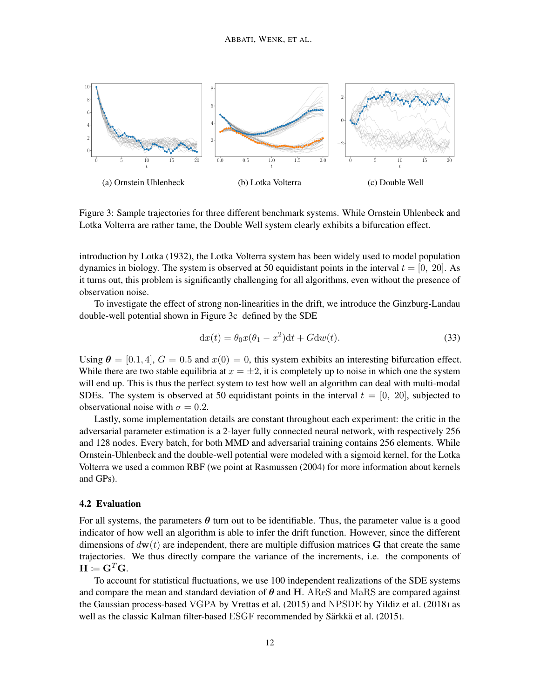<span id="page-11-0"></span>

Figure 3: Sample trajectories for three different benchmark systems. While Ornstein Uhlenbeck and Lotka Volterra are rather tame, the Double Well system clearly exhibits a bifurcation effect.

introduction by [Lotka](#page-16-14) [\(1932\)](#page-16-14), the Lotka Volterra system has been widely used to model population dynamics in biology. The system is observed at 50 equidistant points in the interval  $t = [0, 20]$ . As it turns out, this problem is significantly challenging for all algorithms, even without the presence of observation noise.

To investigate the effect of strong non-linearities in the drift, we introduce the Ginzburg-Landau double-well potential shown in Figure [3c,](#page-11-0) defined by the SDE

$$
dx(t) = \theta_0 x(\theta_1 - x^2)dt + Gdw(t).
$$
\n(33)

Using  $\theta = [0.1, 4], G = 0.5$  and  $x(0) = 0$ , this system exhibits an interesting bifurcation effect. While there are two stable equilibria at  $x = \pm 2$ , it is completely up to noise in which one the system will end up. This is thus the perfect system to test how well an algorithm can deal with multi-modal SDEs. The system is observed at 50 equidistant points in the interval  $t = [0, 20]$ , subjected to observational noise with  $\sigma = 0.2$ .

Lastly, some implementation details are constant throughout each experiment: the critic in the adversarial parameter estimation is a 2-layer fully connected neural network, with respectively 256 and 128 nodes. Every batch, for both MMD and adversarial training contains 256 elements. While Ornstein-Uhlenbeck and the double-well potential were modeled with a sigmoid kernel, for the Lotka Volterra we used a common RBF (we point at [Rasmussen](#page-16-12) [\(2004\)](#page-16-12) for more information about kernels and GPs).

#### 4.2 Evaluation

For all systems, the parameters  $\theta$  turn out to be identifiable. Thus, the parameter value is a good indicator of how well an algorithm is able to infer the drift function. However, since the different dimensions of  $d\mathbf{w}(t)$  are independent, there are multiple diffusion matrices G that create the same trajectories. We thus directly compare the variance of the increments, i.e. the components of  $\mathbf{H}\coloneqq\mathbf{G}^T\mathbf{G}.$ 

To account for statistical fluctuations, we use 100 independent realizations of the SDE systems and compare the mean and standard deviation of  $\theta$  and H. AReS and MaRS are compared against the Gaussian process-based VGPA by [Vrettas et al.](#page-17-2) [\(2015\)](#page-17-2) and NPSDE by [Yildiz et al.](#page-17-3) [\(2018\)](#page-17-3) as well as the classic Kalman filter-based ESGF recommended by Särkkä et al. [\(2015\)](#page-16-5).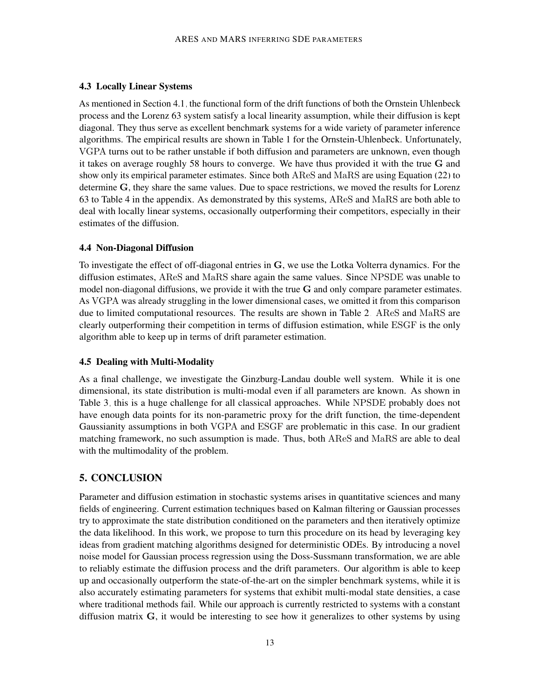## 4.3 Locally Linear Systems

As mentioned in Section [4.1,](#page-9-1) the functional form of the drift functions of both the Ornstein Uhlenbeck process and the Lorenz 63 system satisfy a local linearity assumption, while their diffusion is kept diagonal. They thus serve as excellent benchmark systems for a wide variety of parameter inference algorithms. The empirical results are shown in Table [1](#page-13-0) for the Ornstein-Uhlenbeck. Unfortunately, VGPA turns out to be rather unstable if both diffusion and parameters are unknown, even though it takes on average roughly 58 hours to converge. We have thus provided it with the true G and show only its empirical parameter estimates. Since both AReS and MaRS are using Equation [\(22\)](#page-6-1) to determine G, they share the same values. Due to space restrictions, we moved the results for Lorenz 63 to Table [4](#page-18-0) in the appendix. As demonstrated by this systems, AReS and MaRS are both able to deal with locally linear systems, occasionally outperforming their competitors, especially in their estimates of the diffusion.

## <span id="page-12-0"></span>4.4 Non-Diagonal Diffusion

To investigate the effect of off-diagonal entries in  $\bf{G}$ , we use the Lotka Volterra dynamics. For the diffusion estimates, AReS and MaRS share again the same values. Since NPSDE was unable to model non-diagonal diffusions, we provide it with the true G and only compare parameter estimates. As VGPA was already struggling in the lower dimensional cases, we omitted it from this comparison due to limited computational resources. The results are shown in Table [2.](#page-13-0) AReS and MaRS are clearly outperforming their competition in terms of diffusion estimation, while ESGF is the only algorithm able to keep up in terms of drift parameter estimation.

## 4.5 Dealing with Multi-Modality

As a final challenge, we investigate the Ginzburg-Landau double well system. While it is one dimensional, its state distribution is multi-modal even if all parameters are known. As shown in Table [3,](#page-13-0) this is a huge challenge for all classical approaches. While NPSDE probably does not have enough data points for its non-parametric proxy for the drift function, the time-dependent Gaussianity assumptions in both VGPA and ESGF are problematic in this case. In our gradient matching framework, no such assumption is made. Thus, both AReS and MaRS are able to deal with the multimodality of the problem.

## 5. CONCLUSION

Parameter and diffusion estimation in stochastic systems arises in quantitative sciences and many fields of engineering. Current estimation techniques based on Kalman filtering or Gaussian processes try to approximate the state distribution conditioned on the parameters and then iteratively optimize the data likelihood. In this work, we propose to turn this procedure on its head by leveraging key ideas from gradient matching algorithms designed for deterministic ODEs. By introducing a novel noise model for Gaussian process regression using the Doss-Sussmann transformation, we are able to reliably estimate the diffusion process and the drift parameters. Our algorithm is able to keep up and occasionally outperform the state-of-the-art on the simpler benchmark systems, while it is also accurately estimating parameters for systems that exhibit multi-modal state densities, a case where traditional methods fail. While our approach is currently restricted to systems with a constant diffusion matrix  $G$ , it would be interesting to see how it generalizes to other systems by using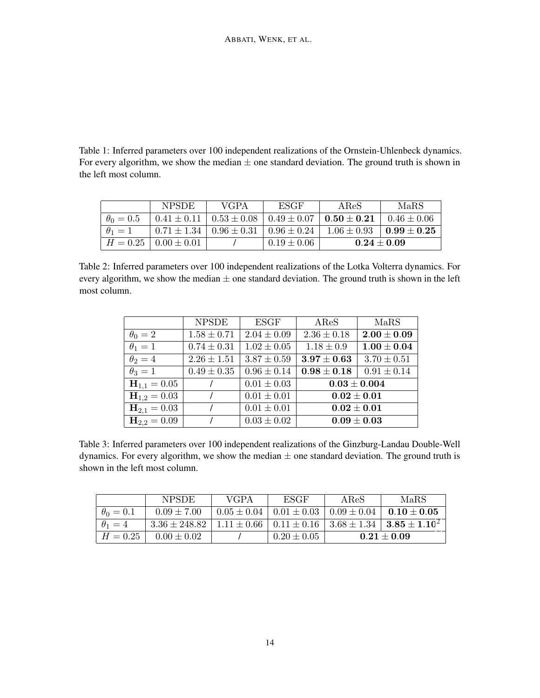<span id="page-13-0"></span>Table 1: Inferred parameters over 100 independent realizations of the Ornstein-Uhlenbeck dynamics. For every algorithm, we show the median  $\pm$  one standard deviation. The ground truth is shown in the left most column.

|                  | <b>NPSDE</b>                  | <b>VGPA</b>                                         | <b>ESGF</b>                                         | AReS            | MaRS            |
|------------------|-------------------------------|-----------------------------------------------------|-----------------------------------------------------|-----------------|-----------------|
| $\theta_0 = 0.5$ |                               |                                                     | $0.41 \pm 0.11$   $0.53 \pm 0.08$   $0.49 \pm 0.07$ | $0.50\pm0.21$   | $0.46 \pm 0.06$ |
| $\theta_1=1$     |                               | $0.71 \pm 1.34$   $0.96 \pm 0.31$   $0.96 \pm 0.24$ |                                                     | $1.06 \pm 0.93$ | $0.99 \pm 0.25$ |
|                  | $H = 0.25 \mid 0.00 \pm 0.01$ |                                                     | $0.19 \pm 0.06$                                     | $0.24 \pm 0.09$ |                 |

Table 2: Inferred parameters over 100 independent realizations of the Lotka Volterra dynamics. For every algorithm, we show the median  $\pm$  one standard deviation. The ground truth is shown in the left most column.

|                  | <b>NPSDE</b>    | ESGF            | $\rm{ARES}$      | MaRS            |  |
|------------------|-----------------|-----------------|------------------|-----------------|--|
| $\theta_0=2$     | $1.58 \pm 0.71$ | $2.04 \pm 0.09$ | $2.36 \pm 0.18$  | $2.00\pm0.09$   |  |
| $\theta_1=1$     | $0.74 \pm 0.31$ | $1.02 \pm 0.05$ | $1.18 \pm 0.9$   | $1.00 \pm 0.04$ |  |
| $\theta_2=4$     | $2.26 \pm 1.51$ | $3.87 \pm 0.59$ | $3.97\pm0.63$    | $3.70 \pm 0.51$ |  |
| $\theta_3=1$     | $0.49 \pm 0.35$ | $0.96 \pm 0.14$ | $0.98 \pm 0.18$  | $0.91 \pm 0.14$ |  |
| $H_{1,1} = 0.05$ |                 | $0.01 \pm 0.03$ | $0.03 \pm 0.004$ |                 |  |
| $H_{1,2} = 0.03$ |                 | $0.01 \pm 0.01$ | $0.02\pm0.01$    |                 |  |
| $H_{2,1} = 0.03$ |                 | $0.01 \pm 0.01$ | $0.02\pm0.01$    |                 |  |
| $H_{2,2} = 0.09$ |                 | $0.03 \pm 0.02$ | $0.09\pm0.03$    |                 |  |

Table 3: Inferred parameters over 100 independent realizations of the Ginzburg-Landau Double-Well dynamics. For every algorithm, we show the median  $\pm$  one standard deviation. The ground truth is shown in the left most column.

|                | <b>NPSDE</b>      | <b>VGPA</b> | ESGF                              | ABC             | MaRS                                |
|----------------|-------------------|-------------|-----------------------------------|-----------------|-------------------------------------|
| $\theta_0=0.1$ | $0.09 \pm 7.00$   |             | $0.05 \pm 0.04 \pm 0.01 \pm 0.03$ | $0.09 \pm 0.04$ | $0.10 \pm 0.05$                     |
| $\theta_1=4$   | $3.36 \pm 248.82$ |             | $1.11 \pm 0.66$   $0.11 \pm 0.16$ |                 | $3.68 \pm 1.34$   $3.85 \pm 1.10^2$ |
| $H = 0.25$     | $0.00 \pm 0.02$   |             | $0.20 \pm 0.05$                   | $0.21 \pm 0.09$ |                                     |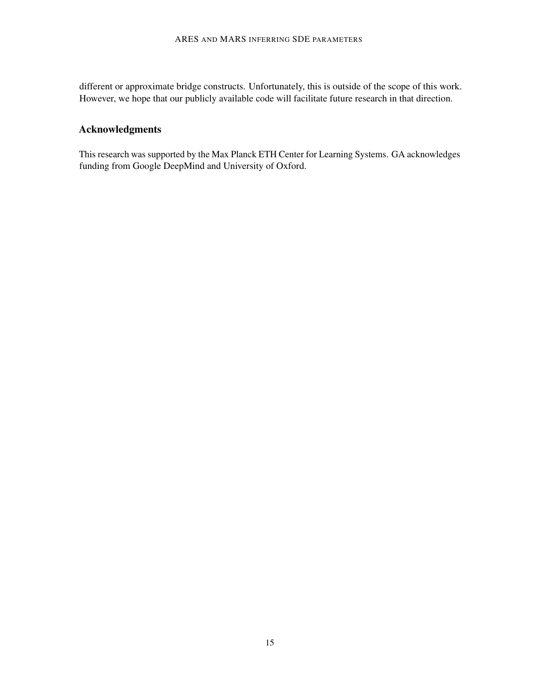different or approximate bridge constructs. Unfortunately, this is outside of the scope of this work. However, we hope that our publicly available code will facilitate future research in that direction.

## Acknowledgments

This research was supported by the Max Planck ETH Center for Learning Systems. GA acknowledges funding from Google DeepMind and University of Oxford.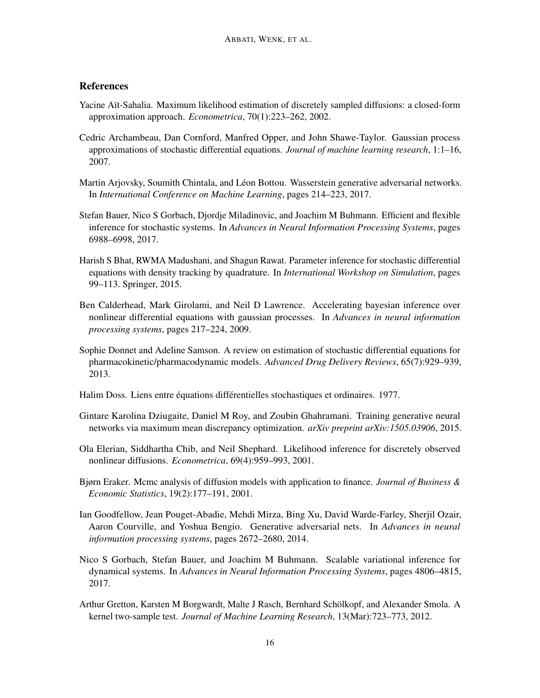## **References**

- <span id="page-15-4"></span>Yacine Aït-Sahalia. Maximum likelihood estimation of discretely sampled diffusions: a closed-form approximation approach. *Econometrica*, 70(1):223–262, 2002.
- <span id="page-15-3"></span>Cedric Archambeau, Dan Cornford, Manfred Opper, and John Shawe-Taylor. Gaussian process approximations of stochastic differential equations. *Journal of machine learning research*, 1:1–16, 2007.
- <span id="page-15-11"></span>Martin Arjovsky, Soumith Chintala, and Léon Bottou. Wasserstein generative adversarial networks. In *International Conference on Machine Learning*, pages 214–223, 2017.
- <span id="page-15-7"></span>Stefan Bauer, Nico S Gorbach, Djordje Miladinovic, and Joachim M Buhmann. Efficient and flexible inference for stochastic systems. In *Advances in Neural Information Processing Systems*, pages 6988–6998, 2017.
- <span id="page-15-0"></span>Harish S Bhat, RWMA Madushani, and Shagun Rawat. Parameter inference for stochastic differential equations with density tracking by quadrature. In *International Workshop on Simulation*, pages 99–113. Springer, 2015.
- <span id="page-15-9"></span>Ben Calderhead, Mark Girolami, and Neil D Lawrence. Accelerating bayesian inference over nonlinear differential equations with gaussian processes. In *Advances in neural information processing systems*, pages 217–224, 2009.
- <span id="page-15-8"></span>Sophie Donnet and Adeline Samson. A review on estimation of stochastic differential equations for pharmacokinetic/pharmacodynamic models. *Advanced Drug Delivery Reviews*, 65(7):929–939, 2013.
- <span id="page-15-5"></span>Halim Doss. Liens entre équations différentielles stochastiques et ordinaires. 1977.
- <span id="page-15-12"></span>Gintare Karolina Dziugaite, Daniel M Roy, and Zoubin Ghahramani. Training generative neural networks via maximum mean discrepancy optimization. *arXiv preprint arXiv:1505.03906*, 2015.
- <span id="page-15-1"></span>Ola Elerian, Siddhartha Chib, and Neil Shephard. Likelihood inference for discretely observed nonlinear diffusions. *Econometrica*, 69(4):959–993, 2001.
- <span id="page-15-2"></span>Bjørn Eraker. Mcmc analysis of diffusion models with application to finance. *Journal of Business & Economic Statistics*, 19(2):177–191, 2001.
- <span id="page-15-10"></span>Ian Goodfellow, Jean Pouget-Abadie, Mehdi Mirza, Bing Xu, David Warde-Farley, Sherjil Ozair, Aaron Courville, and Yoshua Bengio. Generative adversarial nets. In *Advances in neural information processing systems*, pages 2672–2680, 2014.
- <span id="page-15-6"></span>Nico S Gorbach, Stefan Bauer, and Joachim M Buhmann. Scalable variational inference for dynamical systems. In *Advances in Neural Information Processing Systems*, pages 4806–4815, 2017.
- <span id="page-15-13"></span>Arthur Gretton, Karsten M Borgwardt, Malte J Rasch, Bernhard Scholkopf, and Alexander Smola. A ¨ kernel two-sample test. *Journal of Machine Learning Research*, 13(Mar):723–773, 2012.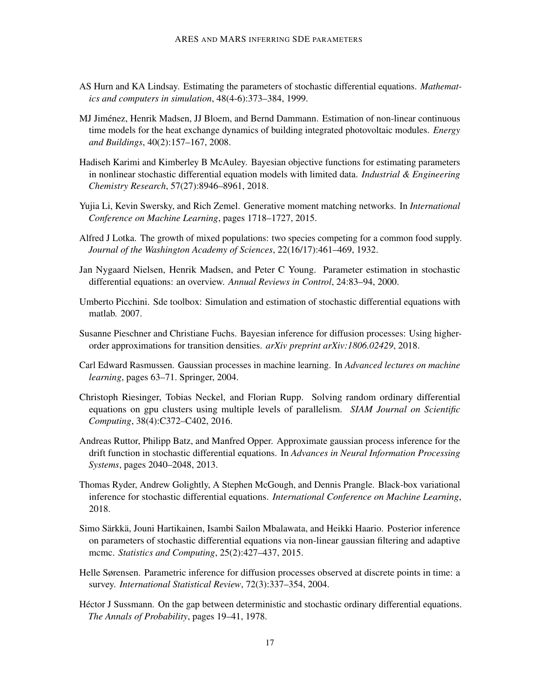- <span id="page-16-6"></span>AS Hurn and KA Lindsay. Estimating the parameters of stochastic differential equations. *Mathematics and computers in simulation*, 48(4-6):373–384, 1999.
- <span id="page-16-11"></span>MJ Jimenez, Henrik Madsen, JJ Bloem, and Bernd Dammann. Estimation of non-linear continuous ´ time models for the heat exchange dynamics of building integrated photovoltaic modules. *Energy and Buildings*, 40(2):157–167, 2008.
- <span id="page-16-10"></span>Hadiseh Karimi and Kimberley B McAuley. Bayesian objective functions for estimating parameters in nonlinear stochastic differential equation models with limited data. *Industrial & Engineering Chemistry Research*, 57(27):8946–8961, 2018.
- <span id="page-16-13"></span>Yujia Li, Kevin Swersky, and Rich Zemel. Generative moment matching networks. In *International Conference on Machine Learning*, pages 1718–1727, 2015.
- <span id="page-16-14"></span>Alfred J Lotka. The growth of mixed populations: two species competing for a common food supply. *Journal of the Washington Academy of Sciences*, 22(16/17):461–469, 1932.
- <span id="page-16-3"></span>Jan Nygaard Nielsen, Henrik Madsen, and Peter C Young. Parameter estimation in stochastic differential equations: an overview. *Annual Reviews in Control*, 24:83–94, 2000.
- <span id="page-16-0"></span>Umberto Picchini. Sde toolbox: Simulation and estimation of stochastic differential equations with matlab. 2007.
- <span id="page-16-4"></span>Susanne Pieschner and Christiane Fuchs. Bayesian inference for diffusion processes: Using higherorder approximations for transition densities. *arXiv preprint arXiv:1806.02429*, 2018.
- <span id="page-16-12"></span>Carl Edward Rasmussen. Gaussian processes in machine learning. In *Advanced lectures on machine learning*, pages 63–71. Springer, 2004.
- <span id="page-16-8"></span>Christoph Riesinger, Tobias Neckel, and Florian Rupp. Solving random ordinary differential equations on gpu clusters using multiple levels of parallelism. *SIAM Journal on Scientific Computing*, 38(4):C372–C402, 2016.
- <span id="page-16-7"></span>Andreas Ruttor, Philipp Batz, and Manfred Opper. Approximate gaussian process inference for the drift function in stochastic differential equations. In *Advances in Neural Information Processing Systems*, pages 2040–2048, 2013.
- <span id="page-16-1"></span>Thomas Ryder, Andrew Golightly, A Stephen McGough, and Dennis Prangle. Black-box variational inference for stochastic differential equations. *International Conference on Machine Learning*, 2018.
- <span id="page-16-5"></span>Simo Särkkä, Jouni Hartikainen, Isambi Sailon Mbalawata, and Heikki Haario. Posterior inference on parameters of stochastic differential equations via non-linear gaussian filtering and adaptive mcmc. *Statistics and Computing*, 25(2):427–437, 2015.
- <span id="page-16-2"></span>Helle Sørensen. Parametric inference for diffusion processes observed at discrete points in time: a survey. *International Statistical Review*, 72(3):337–354, 2004.
- <span id="page-16-9"></span>Hector J Sussmann. On the gap between deterministic and stochastic ordinary differential equations. ´ *The Annals of Probability*, pages 19–41, 1978.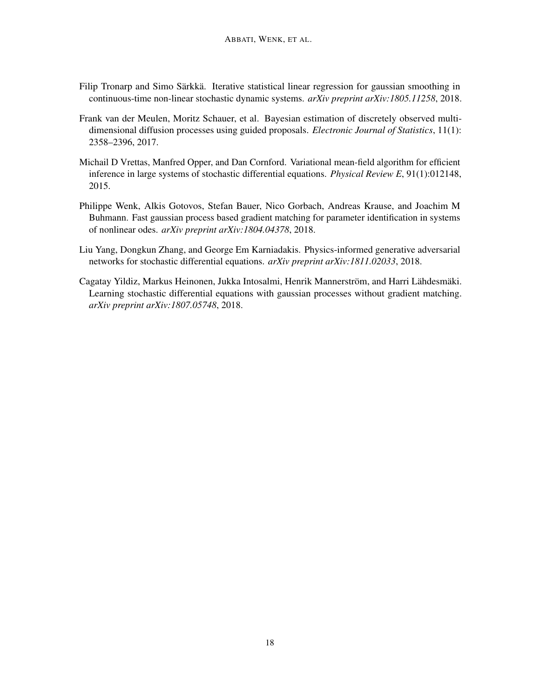- <span id="page-17-0"></span>Filip Tronarp and Simo Särkkä. Iterative statistical linear regression for gaussian smoothing in continuous-time non-linear stochastic dynamic systems. *arXiv preprint arXiv:1805.11258*, 2018.
- <span id="page-17-1"></span>Frank van der Meulen, Moritz Schauer, et al. Bayesian estimation of discretely observed multidimensional diffusion processes using guided proposals. *Electronic Journal of Statistics*, 11(1): 2358–2396, 2017.
- <span id="page-17-2"></span>Michail D Vrettas, Manfred Opper, and Dan Cornford. Variational mean-field algorithm for efficient inference in large systems of stochastic differential equations. *Physical Review E*, 91(1):012148, 2015.
- <span id="page-17-4"></span>Philippe Wenk, Alkis Gotovos, Stefan Bauer, Nico Gorbach, Andreas Krause, and Joachim M Buhmann. Fast gaussian process based gradient matching for parameter identification in systems of nonlinear odes. *arXiv preprint arXiv:1804.04378*, 2018.
- <span id="page-17-5"></span>Liu Yang, Dongkun Zhang, and George Em Karniadakis. Physics-informed generative adversarial networks for stochastic differential equations. *arXiv preprint arXiv:1811.02033*, 2018.
- <span id="page-17-3"></span>Cagatay Yildiz, Markus Heinonen, Jukka Intosalmi, Henrik Mannerström, and Harri Lähdesmäki. Learning stochastic differential equations with gaussian processes without gradient matching. *arXiv preprint arXiv:1807.05748*, 2018.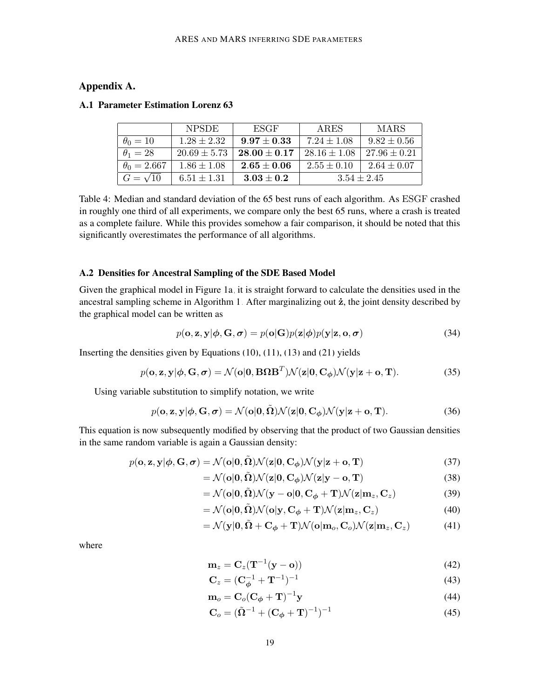## Appendix A.

|                    | <b>NPSDE</b>     | ESGF                       | ARES             | <b>MARS</b>      |  |
|--------------------|------------------|----------------------------|------------------|------------------|--|
| $\theta_0=10$      | $1.28 \pm 2.32$  | $9.97 \pm 0.33$            | $7.24 \pm 1.08$  | $9.82 \pm 0.56$  |  |
| $\theta_1=28$      | $20.69 \pm 5.73$ | $28.00 + 0.17$             | $28.16 \pm 1.08$ | $27.96 \pm 0.21$ |  |
| $\theta_0 = 2.667$ | $1.86 \pm 1.08$  | $\boldsymbol{2.65\pm0.06}$ | $2.55 \pm 0.10$  | $2.64 \pm 0.07$  |  |
| $G=\sqrt{10}$      | $6.51 \pm 1.31$  | $3.03 \pm 0.2$             | $3.54 \pm 2.45$  |                  |  |

#### <span id="page-18-0"></span>A.1 Parameter Estimation Lorenz 63

Table 4: Median and standard deviation of the 65 best runs of each algorithm. As ESGF crashed in roughly one third of all experiments, we compare only the best 65 runs, where a crash is treated as a complete failure. While this provides somehow a fair comparison, it should be noted that this significantly overestimates the performance of all algorithms.

## A.2 Densities for Ancestral Sampling of the SDE Based Model

Given the graphical model in Figure [1a,](#page-7-0) it is straight forward to calculate the densities used in the ancestral sampling scheme in Algorithm [1.](#page-8-0) After marginalizing out  $\dot{z}$ , the joint density described by the graphical model can be written as

$$
p(\mathbf{o}, \mathbf{z}, \mathbf{y} | \boldsymbol{\phi}, \mathbf{G}, \boldsymbol{\sigma}) = p(\mathbf{o} | \mathbf{G}) p(\mathbf{z} | \boldsymbol{\phi}) p(\mathbf{y} | \mathbf{z}, \mathbf{o}, \boldsymbol{\sigma})
$$
(34)

Inserting the densities given by Equations [\(10\)](#page-5-2), [\(11\)](#page-5-3), [\(13\)](#page-5-4) and [\(21\)](#page-6-0) yields

$$
p(\mathbf{o}, \mathbf{z}, \mathbf{y} | \boldsymbol{\phi}, \mathbf{G}, \boldsymbol{\sigma}) = \mathcal{N}(\mathbf{o} | \mathbf{0}, \mathbf{B} \boldsymbol{\Omega} \mathbf{B}^T) \mathcal{N}(\mathbf{z} | \mathbf{0}, \mathbf{C}_{\boldsymbol{\phi}}) \mathcal{N}(\mathbf{y} | \mathbf{z} + \mathbf{o}, \mathbf{T}).
$$
 (35)

Using variable substitution to simplify notation, we write

$$
p(\mathbf{o}, \mathbf{z}, \mathbf{y} | \boldsymbol{\phi}, \mathbf{G}, \boldsymbol{\sigma}) = \mathcal{N}(\mathbf{o} | \mathbf{0}, \tilde{\boldsymbol{\Omega}}) \mathcal{N}(\mathbf{z} | \mathbf{0}, \mathbf{C}_{\boldsymbol{\phi}}) \mathcal{N}(\mathbf{y} | \mathbf{z} + \mathbf{o}, \mathbf{T}).
$$
 (36)

This equation is now subsequently modified by observing that the product of two Gaussian densities in the same random variable is again a Gaussian density:

$$
p(\mathbf{o}, \mathbf{z}, \mathbf{y} | \boldsymbol{\phi}, \mathbf{G}, \boldsymbol{\sigma}) = \mathcal{N}(\mathbf{o} | \mathbf{0}, \tilde{\boldsymbol{\Omega}}) \mathcal{N}(\mathbf{z} | \mathbf{0}, \mathbf{C}_{\boldsymbol{\phi}}) \mathcal{N}(\mathbf{y} | \mathbf{z} + \mathbf{o}, \mathbf{T})
$$
(37)

<span id="page-18-2"></span>
$$
= \mathcal{N}(\mathbf{o}|0, \tilde{\Omega}) \mathcal{N}(\mathbf{z}|0, \mathbf{C}_{\phi}) \mathcal{N}(\mathbf{z}|\mathbf{y} - \mathbf{o}, \mathbf{T})
$$
\n(38)

$$
= \mathcal{N}(\mathbf{o}|\mathbf{0}, \tilde{\mathbf{\Omega}}) \mathcal{N}(\mathbf{y} - \mathbf{o}|\mathbf{0}, \mathbf{C}_{\phi} + \mathbf{T}) \mathcal{N}(\mathbf{z}|\mathbf{m}_z, \mathbf{C}_z)
$$
(39)

$$
= \mathcal{N}(\mathbf{o}|0,\tilde{\Omega})\mathcal{N}(\mathbf{o}|\mathbf{y},\mathbf{C}_{\phi}+\mathbf{T})\mathcal{N}(\mathbf{z}|\mathbf{m}_z,\mathbf{C}_z)
$$
(40)

$$
= \mathcal{N}(\mathbf{y}|\mathbf{0}, \tilde{\mathbf{\Omega}} + \mathbf{C}_{\phi} + \mathbf{T}) \mathcal{N}(\mathbf{o}|\mathbf{m}_{o}, \mathbf{C}_{o}) \mathcal{N}(\mathbf{z}|\mathbf{m}_{z}, \mathbf{C}_{z})
$$
(41)

where

<span id="page-18-1"></span>
$$
\mathbf{m}_z = \mathbf{C}_z (\mathbf{T}^{-1} (\mathbf{y} - \mathbf{o})) \tag{42}
$$

$$
C_z = (C_{\phi}^{-1} + T^{-1})^{-1}
$$
 (43)

$$
\mathbf{m}_o = \mathbf{C}_o (\mathbf{C}_\phi + \mathbf{T})^{-1} \mathbf{y} \tag{44}
$$

$$
C_o = (\tilde{\Omega}^{-1} + (C_{\phi} + T)^{-1})^{-1}
$$
\n(45)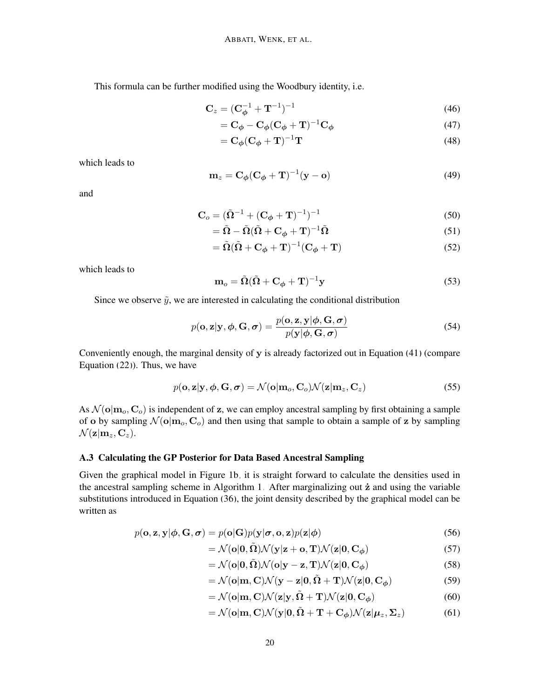This formula can be further modified using the Woodbury identity, i.e.

$$
C_z = (C_{\phi}^{-1} + T^{-1})^{-1}
$$
 (46)

$$
=\mathbf{C}_{\phi}-\mathbf{C}_{\phi}(\mathbf{C}_{\phi}+\mathbf{T})^{-1}\mathbf{C}_{\phi}
$$
\n(47)

$$
=\mathbf{C}_{\phi}(\mathbf{C}_{\phi}+\mathbf{T})^{-1}\mathbf{T}
$$
\n(48)

which leads to

$$
\mathbf{m}_z = \mathbf{C}_{\phi} (\mathbf{C}_{\phi} + \mathbf{T})^{-1} (\mathbf{y} - \mathbf{o}) \tag{49}
$$

and

$$
C_o = (\tilde{\Omega}^{-1} + (C_{\phi} + T)^{-1})^{-1}
$$
\n(50)

$$
= \tilde{\Omega} - \tilde{\Omega} (\tilde{\Omega} + C_{\phi} + T)^{-1} \tilde{\Omega}
$$
\n(51)

$$
= \tilde{\Omega}(\tilde{\Omega} + \mathbf{C}_{\phi} + \mathbf{T})^{-1}(\mathbf{C}_{\phi} + \mathbf{T})
$$
\n(52)

which leads to

$$
\mathbf{m}_o = \tilde{\mathbf{\Omega}}(\tilde{\mathbf{\Omega}} + \mathbf{C}_{\phi} + \mathbf{T})^{-1} \mathbf{y}
$$
\n(53)

Since we observe  $\tilde{y}$ , we are interested in calculating the conditional distribution

$$
p(\mathbf{o}, \mathbf{z} | \mathbf{y}, \boldsymbol{\phi}, \mathbf{G}, \boldsymbol{\sigma}) = \frac{p(\mathbf{o}, \mathbf{z}, \mathbf{y} | \boldsymbol{\phi}, \mathbf{G}, \boldsymbol{\sigma})}{p(\mathbf{y} | \boldsymbol{\phi}, \mathbf{G}, \boldsymbol{\sigma})}
$$
(54)

Conveniently enough, the marginal density of y is already factorized out in Equation [\(41\)](#page-18-1) (compare Equation  $(22)$ ). Thus, we have

$$
p(\mathbf{o}, \mathbf{z} | \mathbf{y}, \boldsymbol{\phi}, \mathbf{G}, \boldsymbol{\sigma}) = \mathcal{N}(\mathbf{o} | \mathbf{m}_o, \mathbf{C}_o) \mathcal{N}(\mathbf{z} | \mathbf{m}_z, \mathbf{C}_z)
$$
(55)

As  $\mathcal{N}(\mathbf{o}|\mathbf{m}_o, \mathbf{C}_o)$  is independent of z, we can employ ancestral sampling by first obtaining a sample of o by sampling  $\mathcal{N}(\mathbf{o}|\mathbf{m}_o, \mathbf{C}_o)$  and then using that sample to obtain a sample of z by sampling  $\mathcal{N}(\mathbf{z}|\mathbf{m}_z, \mathbf{C}_z).$ 

## A.3 Calculating the GP Posterior for Data Based Ancestral Sampling

Given the graphical model in Figure [1b,](#page-7-0) it is straight forward to calculate the densities used in the ancestral sampling scheme in Algorithm [1.](#page-8-0) After marginalizing out  $\dot{z}$  and using the variable substitutions introduced in Equation [\(36\)](#page-18-2), the joint density described by the graphical model can be written as

$$
p(\mathbf{o}, \mathbf{z}, \mathbf{y} | \boldsymbol{\phi}, \mathbf{G}, \boldsymbol{\sigma}) = p(\mathbf{o} | \mathbf{G}) p(\mathbf{y} | \boldsymbol{\sigma}, \mathbf{o}, \mathbf{z}) p(\mathbf{z} | \boldsymbol{\phi})
$$
(56)

$$
= \mathcal{N}(\mathbf{o}|\mathbf{0}, \tilde{\mathbf{\Omega}}) \mathcal{N}(\mathbf{y}|\mathbf{z} + \mathbf{o}, \mathbf{T}) \mathcal{N}(\mathbf{z}|\mathbf{0}, \mathbf{C}_{\phi})
$$
(57)

$$
= \mathcal{N}(\mathbf{o}|\mathbf{0}, \tilde{\mathbf{\Omega}}) \mathcal{N}(\mathbf{o}|\mathbf{y} - \mathbf{z}, \mathbf{T}) \mathcal{N}(\mathbf{z}|\mathbf{0}, \mathbf{C}_{\phi})
$$
(58)

$$
= \mathcal{N}(\mathbf{o}|\mathbf{m}, \mathbf{C}) \mathcal{N}(\mathbf{y} - \mathbf{z}|\mathbf{0}, \tilde{\mathbf{\Omega}} + \mathbf{T}) \mathcal{N}(\mathbf{z}|\mathbf{0}, \mathbf{C}_{\phi})
$$
(59)

$$
= \mathcal{N}(\mathbf{o}|\mathbf{m}, \mathbf{C}) \mathcal{N}(\mathbf{z}|\mathbf{y}, \tilde{\mathbf{\Omega}} + \mathbf{T}) \mathcal{N}(\mathbf{z}|\mathbf{0}, \mathbf{C}_{\phi})
$$
(60)

$$
= \mathcal{N}(\mathbf{o}|\mathbf{m}, \mathbf{C}) \mathcal{N}(\mathbf{y}|\mathbf{0}, \tilde{\mathbf{\Omega}} + \mathbf{T} + \mathbf{C}_{\phi}) \mathcal{N}(\mathbf{z}|\boldsymbol{\mu}_z, \boldsymbol{\Sigma}_z)
$$
(61)